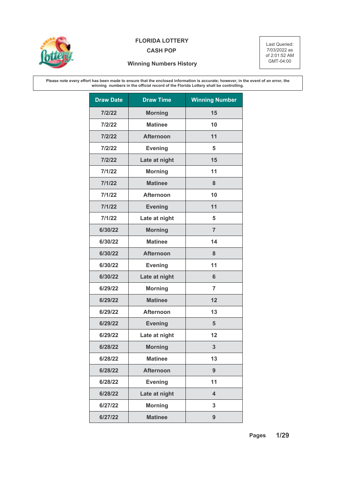

## **FLORIDA LOTTERY** Last Queried:

## **CASH POP**

7/03/2022 as of 2:01:52 AM GMT-04:00

## **Winning Numbers History**

**Please note every effort has been made to ensure that the enclosed information is accurate; however, in the event of an error, the winning numbers in the official record of the Florida Lottery shall be controlling.**

| <b>Draw Date</b> | <b>Draw Time</b> | <b>Winning Number</b>   |
|------------------|------------------|-------------------------|
| 7/2/22           | <b>Morning</b>   | 15                      |
| 7/2/22           | <b>Matinee</b>   | 10                      |
| 7/2/22           | <b>Afternoon</b> | 11                      |
| 7/2/22           | <b>Evening</b>   | 5                       |
| 7/2/22           | Late at night    | 15                      |
| 7/1/22           | <b>Morning</b>   | 11                      |
| 7/1/22           | <b>Matinee</b>   | 8                       |
| 7/1/22           | <b>Afternoon</b> | 10                      |
| 7/1/22           | <b>Evening</b>   | 11                      |
| 7/1/22           | Late at night    | 5                       |
| 6/30/22          | <b>Morning</b>   | $\overline{7}$          |
| 6/30/22          | <b>Matinee</b>   | 14                      |
| 6/30/22          | <b>Afternoon</b> | 8                       |
| 6/30/22          | <b>Evening</b>   | 11                      |
| 6/30/22          | Late at night    | 6                       |
| 6/29/22          | <b>Morning</b>   | $\overline{7}$          |
| 6/29/22          | <b>Matinee</b>   | 12                      |
| 6/29/22          | <b>Afternoon</b> | 13                      |
| 6/29/22          | <b>Evening</b>   | 5                       |
| 6/29/22          | Late at night    | 12                      |
| 6/28/22          | <b>Morning</b>   | 3                       |
| 6/28/22          | <b>Matinee</b>   | 13                      |
| 6/28/22          | <b>Afternoon</b> | 9                       |
| 6/28/22          | <b>Evening</b>   | 11                      |
| 6/28/22          | Late at night    | $\overline{\mathbf{4}}$ |
| 6/27/22          | <b>Morning</b>   | 3                       |
| 6/27/22          | <b>Matinee</b>   | 9                       |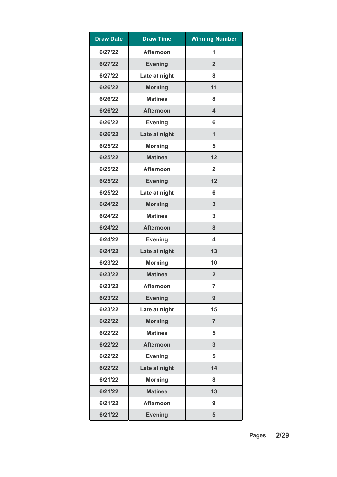| <b>Draw Date</b> | <b>Draw Time</b> | <b>Winning Number</b>   |
|------------------|------------------|-------------------------|
| 6/27/22          | <b>Afternoon</b> | 1                       |
| 6/27/22          | <b>Evening</b>   | $\overline{2}$          |
| 6/27/22          | Late at night    | 8                       |
| 6/26/22          | <b>Morning</b>   | 11                      |
| 6/26/22          | <b>Matinee</b>   | 8                       |
| 6/26/22          | <b>Afternoon</b> | $\overline{\mathbf{4}}$ |
| 6/26/22          | <b>Evening</b>   | 6                       |
| 6/26/22          | Late at night    | $\mathbf{1}$            |
| 6/25/22          | <b>Morning</b>   | 5                       |
| 6/25/22          | <b>Matinee</b>   | 12                      |
| 6/25/22          | <b>Afternoon</b> | $\overline{2}$          |
| 6/25/22          | <b>Evening</b>   | 12                      |
| 6/25/22          | Late at night    | 6                       |
| 6/24/22          | <b>Morning</b>   | 3                       |
| 6/24/22          | <b>Matinee</b>   | 3                       |
| 6/24/22          | <b>Afternoon</b> | 8                       |
| 6/24/22          | <b>Evening</b>   | 4                       |
| 6/24/22          | Late at night    | 13                      |
| 6/23/22          | <b>Morning</b>   | 10                      |
| 6/23/22          | <b>Matinee</b>   | $\overline{2}$          |
| 6/23/22          | <b>Afternoon</b> | $\overline{7}$          |
| 6/23/22          | <b>Evening</b>   | 9                       |
| 6/23/22          | Late at night    | 15                      |
| 6/22/22          | <b>Morning</b>   | $\overline{7}$          |
| 6/22/22          | <b>Matinee</b>   | 5                       |
| 6/22/22          | <b>Afternoon</b> | 3                       |
| 6/22/22          | <b>Evening</b>   | 5                       |
| 6/22/22          | Late at night    | 14                      |
| 6/21/22          | <b>Morning</b>   | 8                       |
| 6/21/22          | <b>Matinee</b>   | 13                      |
| 6/21/22          | <b>Afternoon</b> | 9                       |
| 6/21/22          | <b>Evening</b>   | 5                       |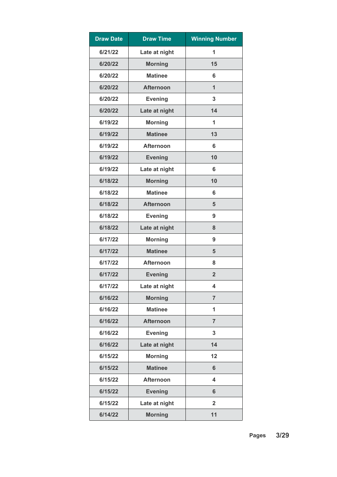| <b>Draw Date</b> | <b>Draw Time</b> | <b>Winning Number</b> |
|------------------|------------------|-----------------------|
| 6/21/22          | Late at night    | 1                     |
| 6/20/22          | <b>Morning</b>   | 15                    |
| 6/20/22          | <b>Matinee</b>   | 6                     |
| 6/20/22          | <b>Afternoon</b> | $\mathbf{1}$          |
| 6/20/22          | <b>Evening</b>   | 3                     |
| 6/20/22          | Late at night    | 14                    |
| 6/19/22          | <b>Morning</b>   | 1                     |
| 6/19/22          | <b>Matinee</b>   | 13                    |
| 6/19/22          | <b>Afternoon</b> | 6                     |
| 6/19/22          | <b>Evening</b>   | 10                    |
| 6/19/22          | Late at night    | 6                     |
| 6/18/22          | <b>Morning</b>   | 10                    |
| 6/18/22          | <b>Matinee</b>   | 6                     |
| 6/18/22          | <b>Afternoon</b> | 5                     |
| 6/18/22          | <b>Evening</b>   | 9                     |
| 6/18/22          | Late at night    | 8                     |
| 6/17/22          | <b>Morning</b>   | 9                     |
| 6/17/22          | <b>Matinee</b>   | 5                     |
| 6/17/22          | <b>Afternoon</b> | 8                     |
| 6/17/22          | <b>Evening</b>   | $\overline{2}$        |
| 6/17/22          | Late at night    | 4                     |
| 6/16/22          | <b>Morning</b>   | $\overline{7}$        |
| 6/16/22          | <b>Matinee</b>   | 1                     |
| 6/16/22          | <b>Afternoon</b> | $\overline{7}$        |
| 6/16/22          | <b>Evening</b>   | 3                     |
| 6/16/22          | Late at night    | 14                    |
| 6/15/22          | <b>Morning</b>   | 12                    |
| 6/15/22          | <b>Matinee</b>   | $6\phantom{1}$        |
| 6/15/22          | <b>Afternoon</b> | 4                     |
| 6/15/22          | <b>Evening</b>   | 6                     |
| 6/15/22          | Late at night    | $\overline{2}$        |
| 6/14/22          | <b>Morning</b>   | 11                    |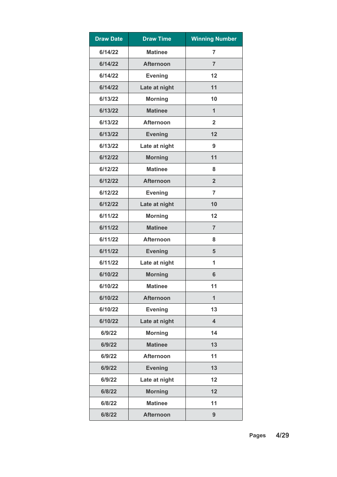| <b>Draw Date</b> | <b>Draw Time</b> | <b>Winning Number</b>   |
|------------------|------------------|-------------------------|
| 6/14/22          | <b>Matinee</b>   | $\overline{7}$          |
| 6/14/22          | <b>Afternoon</b> | $\overline{7}$          |
| 6/14/22          | <b>Evening</b>   | 12                      |
| 6/14/22          | Late at night    | 11                      |
| 6/13/22          | <b>Morning</b>   | 10                      |
| 6/13/22          | <b>Matinee</b>   | $\mathbf{1}$            |
| 6/13/22          | <b>Afternoon</b> | $\overline{\mathbf{2}}$ |
| 6/13/22          | <b>Evening</b>   | 12                      |
| 6/13/22          | Late at night    | 9                       |
| 6/12/22          | <b>Morning</b>   | 11                      |
| 6/12/22          | <b>Matinee</b>   | 8                       |
| 6/12/22          | <b>Afternoon</b> | $\overline{2}$          |
| 6/12/22          | <b>Evening</b>   | $\overline{7}$          |
| 6/12/22          | Late at night    | 10                      |
| 6/11/22          | <b>Morning</b>   | 12                      |
| 6/11/22          | <b>Matinee</b>   | $\overline{7}$          |
| 6/11/22          | <b>Afternoon</b> | 8                       |
| 6/11/22          | <b>Evening</b>   | 5                       |
| 6/11/22          | Late at night    | 1                       |
| 6/10/22          | <b>Morning</b>   | 6                       |
| 6/10/22          | <b>Matinee</b>   | 11                      |
| 6/10/22          | <b>Afternoon</b> | $\mathbf{1}$            |
| 6/10/22          | <b>Evening</b>   | 13                      |
| 6/10/22          | Late at night    | $\overline{\mathbf{4}}$ |
| 6/9/22           | <b>Morning</b>   | 14                      |
| 6/9/22           | <b>Matinee</b>   | 13                      |
| 6/9/22           | <b>Afternoon</b> | 11                      |
| 6/9/22           | <b>Evening</b>   | 13                      |
| 6/9/22           | Late at night    | 12                      |
| 6/8/22           | <b>Morning</b>   | 12                      |
| 6/8/22           | <b>Matinee</b>   | 11                      |
| 6/8/22           | <b>Afternoon</b> | 9                       |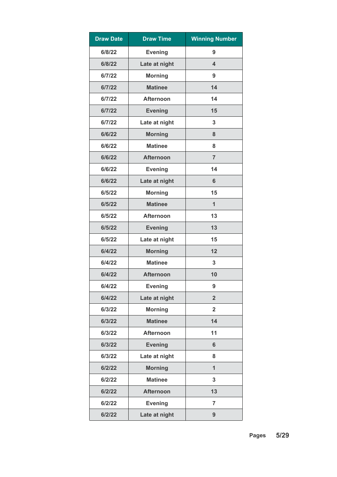| <b>Draw Date</b> | <b>Draw Time</b> | <b>Winning Number</b>   |
|------------------|------------------|-------------------------|
| 6/8/22           | <b>Evening</b>   | 9                       |
| 6/8/22           | Late at night    | $\overline{\mathbf{4}}$ |
| 6/7/22           | <b>Morning</b>   | 9                       |
| 6/7/22           | <b>Matinee</b>   | 14                      |
| 6/7/22           | <b>Afternoon</b> | 14                      |
| 6/7/22           | <b>Evening</b>   | 15                      |
| 6/7/22           | Late at night    | 3                       |
| 6/6/22           | <b>Morning</b>   | 8                       |
| 6/6/22           | <b>Matinee</b>   | 8                       |
| 6/6/22           | <b>Afternoon</b> | $\overline{7}$          |
| 6/6/22           | <b>Evening</b>   | 14                      |
| 6/6/22           | Late at night    | $6\phantom{1}6$         |
| 6/5/22           | <b>Morning</b>   | 15                      |
| 6/5/22           | <b>Matinee</b>   | $\mathbf{1}$            |
| 6/5/22           | <b>Afternoon</b> | 13                      |
| 6/5/22           | <b>Evening</b>   | 13                      |
| 6/5/22           | Late at night    | 15                      |
| 6/4/22           | <b>Morning</b>   | 12                      |
| 6/4/22           | <b>Matinee</b>   | 3                       |
| 6/4/22           | <b>Afternoon</b> | 10                      |
| 6/4/22           | <b>Evening</b>   | 9                       |
| 6/4/22           | Late at night    | $\overline{2}$          |
| 6/3/22           | <b>Morning</b>   | $\overline{2}$          |
| 6/3/22           | <b>Matinee</b>   | 14                      |
| 6/3/22           | <b>Afternoon</b> | 11                      |
| 6/3/22           | <b>Evening</b>   | $6\phantom{1}6$         |
| 6/3/22           | Late at night    | 8                       |
| 6/2/22           | <b>Morning</b>   | $\overline{1}$          |
| 6/2/22           | <b>Matinee</b>   | 3                       |
| 6/2/22           | <b>Afternoon</b> | 13                      |
| 6/2/22           | <b>Evening</b>   | $\overline{7}$          |
| 6/2/22           | Late at night    | 9                       |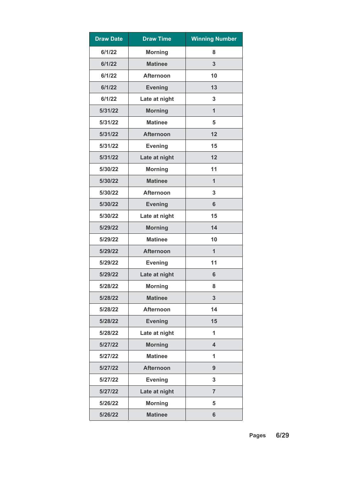| <b>Draw Date</b> | <b>Draw Time</b> | <b>Winning Number</b>   |
|------------------|------------------|-------------------------|
| 6/1/22           | <b>Morning</b>   | 8                       |
| 6/1/22           | <b>Matinee</b>   | 3                       |
| 6/1/22           | <b>Afternoon</b> | 10                      |
| 6/1/22           | <b>Evening</b>   | 13                      |
| 6/1/22           | Late at night    | 3                       |
| 5/31/22          | <b>Morning</b>   | $\mathbf{1}$            |
| 5/31/22          | <b>Matinee</b>   | 5                       |
| 5/31/22          | <b>Afternoon</b> | 12                      |
| 5/31/22          | <b>Evening</b>   | 15                      |
| 5/31/22          | Late at night    | 12                      |
| 5/30/22          | <b>Morning</b>   | 11                      |
| 5/30/22          | <b>Matinee</b>   | $\mathbf{1}$            |
| 5/30/22          | <b>Afternoon</b> | 3                       |
| 5/30/22          | <b>Evening</b>   | 6                       |
| 5/30/22          | Late at night    | 15                      |
| 5/29/22          | <b>Morning</b>   | 14                      |
| 5/29/22          | <b>Matinee</b>   | 10                      |
| 5/29/22          | <b>Afternoon</b> | $\mathbf{1}$            |
| 5/29/22          | <b>Evening</b>   | 11                      |
| 5/29/22          | Late at night    | 6                       |
| 5/28/22          | <b>Morning</b>   | 8                       |
| 5/28/22          | <b>Matinee</b>   | 3                       |
| 5/28/22          | <b>Afternoon</b> | 14                      |
| 5/28/22          | <b>Evening</b>   | 15                      |
| 5/28/22          | Late at night    | 1                       |
| 5/27/22          | <b>Morning</b>   | $\overline{\mathbf{4}}$ |
| 5/27/22          | <b>Matinee</b>   | 1                       |
| 5/27/22          | <b>Afternoon</b> | 9                       |
| 5/27/22          | <b>Evening</b>   | 3                       |
| 5/27/22          | Late at night    | $\overline{7}$          |
| 5/26/22          | <b>Morning</b>   | 5                       |
| 5/26/22          | <b>Matinee</b>   | 6                       |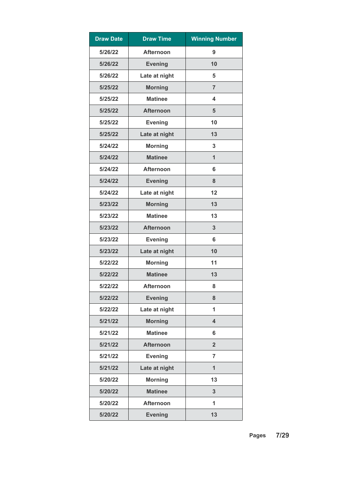| <b>Draw Date</b> | <b>Draw Time</b> | <b>Winning Number</b> |
|------------------|------------------|-----------------------|
| 5/26/22          | <b>Afternoon</b> | 9                     |
| 5/26/22          | <b>Evening</b>   | 10                    |
| 5/26/22          | Late at night    | 5                     |
| 5/25/22          | <b>Morning</b>   | $\overline{7}$        |
| 5/25/22          | <b>Matinee</b>   | 4                     |
| 5/25/22          | <b>Afternoon</b> | 5                     |
| 5/25/22          | <b>Evening</b>   | 10                    |
| 5/25/22          | Late at night    | 13                    |
| 5/24/22          | <b>Morning</b>   | 3                     |
| 5/24/22          | <b>Matinee</b>   | $\overline{1}$        |
| 5/24/22          | <b>Afternoon</b> | 6                     |
| 5/24/22          | <b>Evening</b>   | 8                     |
| 5/24/22          | Late at night    | 12                    |
| 5/23/22          | <b>Morning</b>   | 13                    |
| 5/23/22          | <b>Matinee</b>   | 13                    |
| 5/23/22          | <b>Afternoon</b> | 3                     |
| 5/23/22          | <b>Evening</b>   | 6                     |
| 5/23/22          | Late at night    | 10                    |
| 5/22/22          | <b>Morning</b>   | 11                    |
| 5/22/22          | <b>Matinee</b>   | 13                    |
| 5/22/22          | <b>Afternoon</b> | 8                     |
| 5/22/22          | <b>Evening</b>   | 8                     |
| 5/22/22          | Late at night    | 1                     |
| 5/21/22          | <b>Morning</b>   | 4                     |
| 5/21/22          | <b>Matinee</b>   | 6                     |
| 5/21/22          | <b>Afternoon</b> | $\overline{2}$        |
| 5/21/22          | <b>Evening</b>   | $\overline{7}$        |
| 5/21/22          | Late at night    | $\overline{1}$        |
| 5/20/22          | <b>Morning</b>   | 13                    |
| 5/20/22          | <b>Matinee</b>   | 3                     |
| 5/20/22          | <b>Afternoon</b> | 1                     |
| 5/20/22          | <b>Evening</b>   | 13                    |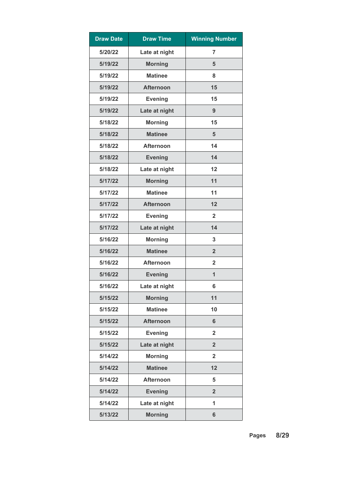| <b>Draw Date</b> | <b>Draw Time</b> | <b>Winning Number</b>   |
|------------------|------------------|-------------------------|
| 5/20/22          | Late at night    | 7                       |
| 5/19/22          | <b>Morning</b>   | 5                       |
| 5/19/22          | <b>Matinee</b>   | 8                       |
| 5/19/22          | <b>Afternoon</b> | 15                      |
| 5/19/22          | <b>Evening</b>   | 15                      |
| 5/19/22          | Late at night    | 9                       |
| 5/18/22          | <b>Morning</b>   | 15                      |
| 5/18/22          | <b>Matinee</b>   | 5                       |
| 5/18/22          | <b>Afternoon</b> | 14                      |
| 5/18/22          | <b>Evening</b>   | 14                      |
| 5/18/22          | Late at night    | 12                      |
| 5/17/22          | <b>Morning</b>   | 11                      |
| 5/17/22          | <b>Matinee</b>   | 11                      |
| 5/17/22          | <b>Afternoon</b> | 12                      |
| 5/17/22          | <b>Evening</b>   | $\overline{2}$          |
| 5/17/22          | Late at night    | 14                      |
| 5/16/22          | <b>Morning</b>   | 3                       |
| 5/16/22          | <b>Matinee</b>   | $\overline{2}$          |
| 5/16/22          | <b>Afternoon</b> | $\overline{2}$          |
| 5/16/22          | <b>Evening</b>   | 1                       |
| 5/16/22          | Late at night    | 6                       |
| 5/15/22          | <b>Morning</b>   | 11                      |
| 5/15/22          | <b>Matinee</b>   | 10                      |
| 5/15/22          | <b>Afternoon</b> | 6                       |
| 5/15/22          | <b>Evening</b>   | $\overline{2}$          |
| 5/15/22          | Late at night    | $\overline{2}$          |
| 5/14/22          | <b>Morning</b>   | $\overline{\mathbf{2}}$ |
| 5/14/22          | <b>Matinee</b>   | 12                      |
| 5/14/22          | <b>Afternoon</b> | 5                       |
| 5/14/22          | <b>Evening</b>   | $\overline{2}$          |
| 5/14/22          | Late at night    | 1                       |
| 5/13/22          | <b>Morning</b>   | $6\phantom{a}$          |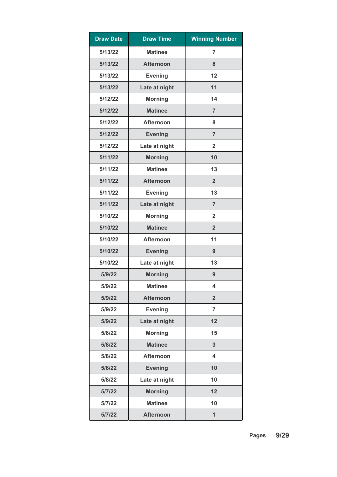| <b>Draw Date</b> | <b>Draw Time</b> | <b>Winning Number</b>   |
|------------------|------------------|-------------------------|
| 5/13/22          | <b>Matinee</b>   | $\overline{7}$          |
| 5/13/22          | <b>Afternoon</b> | 8                       |
| 5/13/22          | <b>Evening</b>   | 12                      |
| 5/13/22          | Late at night    | 11                      |
| 5/12/22          | <b>Morning</b>   | 14                      |
| 5/12/22          | <b>Matinee</b>   | $\overline{7}$          |
| 5/12/22          | <b>Afternoon</b> | 8                       |
| 5/12/22          | <b>Evening</b>   | $\overline{7}$          |
| 5/12/22          | Late at night    | $\overline{2}$          |
| 5/11/22          | <b>Morning</b>   | 10                      |
| 5/11/22          | <b>Matinee</b>   | 13                      |
| 5/11/22          | <b>Afternoon</b> | $\overline{2}$          |
| 5/11/22          | <b>Evening</b>   | 13                      |
| 5/11/22          | Late at night    | $\overline{7}$          |
| 5/10/22          | <b>Morning</b>   | $\overline{2}$          |
| 5/10/22          | <b>Matinee</b>   | $\overline{2}$          |
| 5/10/22          | <b>Afternoon</b> | 11                      |
| 5/10/22          | <b>Evening</b>   | 9                       |
| 5/10/22          | Late at night    | 13                      |
| 5/9/22           | <b>Morning</b>   | 9                       |
| 5/9/22           | <b>Matinee</b>   | 4                       |
| 5/9/22           | <b>Afternoon</b> | $\overline{2}$          |
| 5/9/22           | <b>Evening</b>   | $\overline{7}$          |
| 5/9/22           | Late at night    | 12                      |
| 5/8/22           | <b>Morning</b>   | 15                      |
| 5/8/22           | <b>Matinee</b>   | 3                       |
| 5/8/22           | <b>Afternoon</b> | $\overline{\mathbf{4}}$ |
| 5/8/22           | <b>Evening</b>   | 10                      |
| 5/8/22           | Late at night    | 10                      |
| 5/7/22           | <b>Morning</b>   | 12                      |
| 5/7/22           | <b>Matinee</b>   | 10                      |
| 5/7/22           | <b>Afternoon</b> | 1                       |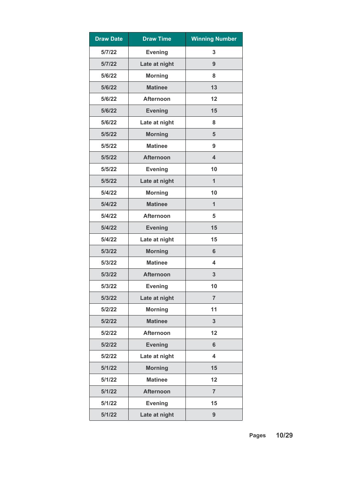| <b>Draw Date</b> | <b>Draw Time</b> | <b>Winning Number</b> |
|------------------|------------------|-----------------------|
| 5/7/22           | <b>Evening</b>   | 3                     |
| 5/7/22           | Late at night    | 9                     |
| 5/6/22           | <b>Morning</b>   | 8                     |
| 5/6/22           | <b>Matinee</b>   | 13                    |
| 5/6/22           | <b>Afternoon</b> | 12                    |
| 5/6/22           | <b>Evening</b>   | 15                    |
| 5/6/22           | Late at night    | 8                     |
| 5/5/22           | <b>Morning</b>   | 5                     |
| 5/5/22           | <b>Matinee</b>   | 9                     |
| 5/5/22           | <b>Afternoon</b> | 4                     |
| 5/5/22           | <b>Evening</b>   | 10                    |
| 5/5/22           | Late at night    | $\mathbf{1}$          |
| 5/4/22           | <b>Morning</b>   | 10                    |
| 5/4/22           | <b>Matinee</b>   | 1                     |
| 5/4/22           | <b>Afternoon</b> | 5                     |
| 5/4/22           | <b>Evening</b>   | 15                    |
| 5/4/22           | Late at night    | 15                    |
| 5/3/22           | <b>Morning</b>   | 6                     |
| 5/3/22           | <b>Matinee</b>   | 4                     |
| 5/3/22           | <b>Afternoon</b> | 3                     |
| 5/3/22           | <b>Evening</b>   | 10                    |
| 5/3/22           | Late at night    | $\overline{7}$        |
| 5/2/22           | <b>Morning</b>   | 11                    |
| 5/2/22           | <b>Matinee</b>   | $\overline{3}$        |
| 5/2/22           | <b>Afternoon</b> | 12                    |
| 5/2/22           | <b>Evening</b>   | $6\phantom{a}$        |
| 5/2/22           | Late at night    | 4                     |
| 5/1/22           | <b>Morning</b>   | 15                    |
| 5/1/22           | <b>Matinee</b>   | 12                    |
| 5/1/22           | <b>Afternoon</b> | $\overline{7}$        |
| 5/1/22           | <b>Evening</b>   | 15                    |
| 5/1/22           | Late at night    | 9                     |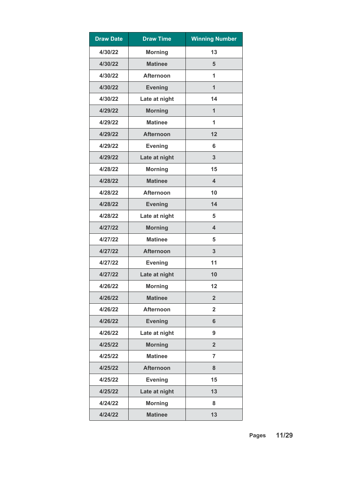| <b>Draw Date</b> | <b>Draw Time</b> | <b>Winning Number</b>   |
|------------------|------------------|-------------------------|
| 4/30/22          | <b>Morning</b>   | 13                      |
| 4/30/22          | <b>Matinee</b>   | 5                       |
| 4/30/22          | <b>Afternoon</b> | 1                       |
| 4/30/22          | <b>Evening</b>   | $\mathbf{1}$            |
| 4/30/22          | Late at night    | 14                      |
| 4/29/22          | <b>Morning</b>   | 1                       |
| 4/29/22          | <b>Matinee</b>   | 1                       |
| 4/29/22          | <b>Afternoon</b> | 12                      |
| 4/29/22          | <b>Evening</b>   | 6                       |
| 4/29/22          | Late at night    | 3                       |
| 4/28/22          | <b>Morning</b>   | 15                      |
| 4/28/22          | <b>Matinee</b>   | $\overline{\mathbf{4}}$ |
| 4/28/22          | <b>Afternoon</b> | 10                      |
| 4/28/22          | <b>Evening</b>   | 14                      |
| 4/28/22          | Late at night    | 5                       |
| 4/27/22          | <b>Morning</b>   | $\overline{\mathbf{4}}$ |
| 4/27/22          | <b>Matinee</b>   | 5                       |
| 4/27/22          | <b>Afternoon</b> | 3                       |
| 4/27/22          | <b>Evening</b>   | 11                      |
| 4/27/22          | Late at night    | 10                      |
| 4/26/22          | <b>Morning</b>   | 12                      |
| 4/26/22          | <b>Matinee</b>   | $\overline{2}$          |
| 4/26/22          | <b>Afternoon</b> | $\overline{\mathbf{2}}$ |
| 4/26/22          | <b>Evening</b>   | $6\phantom{1}$          |
| 4/26/22          | Late at night    | 9                       |
| 4/25/22          | <b>Morning</b>   | $\overline{2}$          |
| 4/25/22          | <b>Matinee</b>   | $\overline{7}$          |
| 4/25/22          | <b>Afternoon</b> | 8                       |
| 4/25/22          | <b>Evening</b>   | 15                      |
| 4/25/22          | Late at night    | 13                      |
| 4/24/22          | <b>Morning</b>   | 8                       |
| 4/24/22          | <b>Matinee</b>   | 13                      |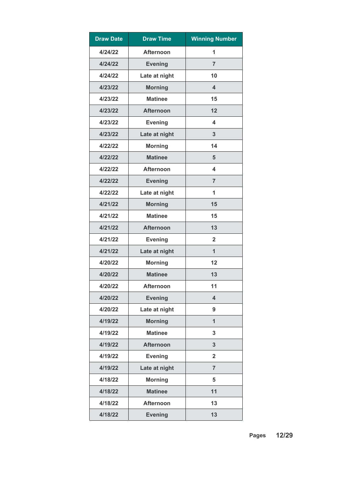| <b>Draw Date</b> | <b>Draw Time</b> | <b>Winning Number</b> |
|------------------|------------------|-----------------------|
| 4/24/22          | <b>Afternoon</b> | 1                     |
| 4/24/22          | <b>Evening</b>   | $\overline{7}$        |
| 4/24/22          | Late at night    | 10                    |
| 4/23/22          | <b>Morning</b>   | 4                     |
| 4/23/22          | <b>Matinee</b>   | 15                    |
| 4/23/22          | <b>Afternoon</b> | 12                    |
| 4/23/22          | <b>Evening</b>   | 4                     |
| 4/23/22          | Late at night    | 3                     |
| 4/22/22          | <b>Morning</b>   | 14                    |
| 4/22/22          | <b>Matinee</b>   | 5                     |
| 4/22/22          | <b>Afternoon</b> | 4                     |
| 4/22/22          | <b>Evening</b>   | $\overline{7}$        |
| 4/22/22          | Late at night    | 1                     |
| 4/21/22          | <b>Morning</b>   | 15                    |
| 4/21/22          | <b>Matinee</b>   | 15                    |
| 4/21/22          | <b>Afternoon</b> | 13                    |
| 4/21/22          | <b>Evening</b>   | $\mathbf{2}$          |
| 4/21/22          | Late at night    | $\mathbf{1}$          |
| 4/20/22          | <b>Morning</b>   | 12                    |
| 4/20/22          | <b>Matinee</b>   | 13                    |
| 4/20/22          | <b>Afternoon</b> | 11                    |
| 4/20/22          | <b>Evening</b>   | 4                     |
| 4/20/22          | Late at night    | 9                     |
| 4/19/22          | <b>Morning</b>   | $\overline{1}$        |
| 4/19/22          | <b>Matinee</b>   | 3                     |
| 4/19/22          | <b>Afternoon</b> | 3                     |
| 4/19/22          | <b>Evening</b>   | $\overline{2}$        |
| 4/19/22          | Late at night    | $\overline{7}$        |
| 4/18/22          | <b>Morning</b>   | 5                     |
| 4/18/22          | <b>Matinee</b>   | 11                    |
| 4/18/22          | <b>Afternoon</b> | 13                    |
| 4/18/22          | <b>Evening</b>   | 13                    |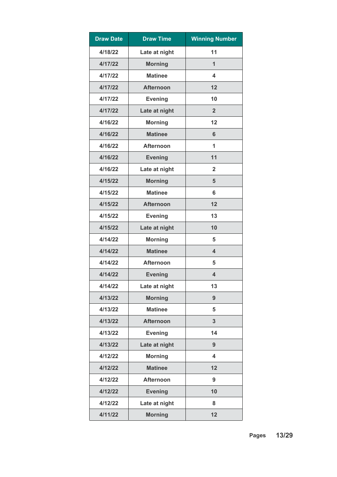| <b>Draw Date</b> | <b>Draw Time</b> | <b>Winning Number</b>   |
|------------------|------------------|-------------------------|
| 4/18/22          | Late at night    | 11                      |
| 4/17/22          | <b>Morning</b>   | 1                       |
| 4/17/22          | <b>Matinee</b>   | 4                       |
| 4/17/22          | <b>Afternoon</b> | 12                      |
| 4/17/22          | <b>Evening</b>   | 10                      |
| 4/17/22          | Late at night    | $\overline{2}$          |
| 4/16/22          | <b>Morning</b>   | 12                      |
| 4/16/22          | <b>Matinee</b>   | 6                       |
| 4/16/22          | <b>Afternoon</b> | 1                       |
| 4/16/22          | <b>Evening</b>   | 11                      |
| 4/16/22          | Late at night    | $\overline{2}$          |
| 4/15/22          | <b>Morning</b>   | 5                       |
| 4/15/22          | <b>Matinee</b>   | 6                       |
| 4/15/22          | <b>Afternoon</b> | 12                      |
| 4/15/22          | <b>Evening</b>   | 13                      |
| 4/15/22          | Late at night    | 10                      |
| 4/14/22          | <b>Morning</b>   | 5                       |
| 4/14/22          | <b>Matinee</b>   | 4                       |
| 4/14/22          | <b>Afternoon</b> | 5                       |
| 4/14/22          | <b>Evening</b>   | $\overline{\mathbf{4}}$ |
| 4/14/22          | Late at night    | 13                      |
| 4/13/22          | <b>Morning</b>   | 9                       |
| 4/13/22          | <b>Matinee</b>   | 5                       |
| 4/13/22          | <b>Afternoon</b> | 3                       |
| 4/13/22          | <b>Evening</b>   | 14                      |
| 4/13/22          | Late at night    | 9                       |
| 4/12/22          | <b>Morning</b>   | 4                       |
| 4/12/22          | <b>Matinee</b>   | 12                      |
| 4/12/22          | <b>Afternoon</b> | 9                       |
| 4/12/22          | <b>Evening</b>   | 10                      |
| 4/12/22          | Late at night    | 8                       |
| 4/11/22          | <b>Morning</b>   | 12                      |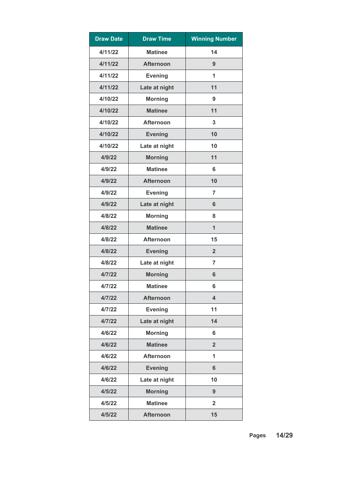| <b>Draw Date</b> | <b>Draw Time</b> | <b>Winning Number</b>   |
|------------------|------------------|-------------------------|
| 4/11/22          | <b>Matinee</b>   | 14                      |
| 4/11/22          | <b>Afternoon</b> | 9                       |
| 4/11/22          | <b>Evening</b>   | 1                       |
| 4/11/22          | Late at night    | 11                      |
| 4/10/22          | <b>Morning</b>   | 9                       |
| 4/10/22          | <b>Matinee</b>   | 11                      |
| 4/10/22          | <b>Afternoon</b> | 3                       |
| 4/10/22          | <b>Evening</b>   | 10                      |
| 4/10/22          | Late at night    | 10                      |
| 4/9/22           | <b>Morning</b>   | 11                      |
| 4/9/22           | <b>Matinee</b>   | 6                       |
| 4/9/22           | <b>Afternoon</b> | 10                      |
| 4/9/22           | <b>Evening</b>   | 7                       |
| 4/9/22           | Late at night    | 6                       |
| 4/8/22           | <b>Morning</b>   | 8                       |
| 4/8/22           | <b>Matinee</b>   | $\mathbf{1}$            |
| 4/8/22           | <b>Afternoon</b> | 15                      |
| 4/8/22           | <b>Evening</b>   | $\overline{2}$          |
| 4/8/22           | Late at night    | $\overline{7}$          |
| 4/7/22           | <b>Morning</b>   | 6                       |
| 4/7/22           | <b>Matinee</b>   | 6                       |
| 4/7/22           | <b>Afternoon</b> | $\overline{\mathbf{4}}$ |
| 4/7/22           | <b>Evening</b>   | 11                      |
| 4/7/22           | Late at night    | 14                      |
| 4/6/22           | <b>Morning</b>   | 6                       |
| 4/6/22           | <b>Matinee</b>   | $\overline{2}$          |
| 4/6/22           | <b>Afternoon</b> | 1                       |
| 4/6/22           | <b>Evening</b>   | $6\phantom{1}$          |
| 4/6/22           | Late at night    | 10                      |
| 4/5/22           | <b>Morning</b>   | 9                       |
| 4/5/22           | <b>Matinee</b>   | $\overline{2}$          |
| 4/5/22           | <b>Afternoon</b> | 15                      |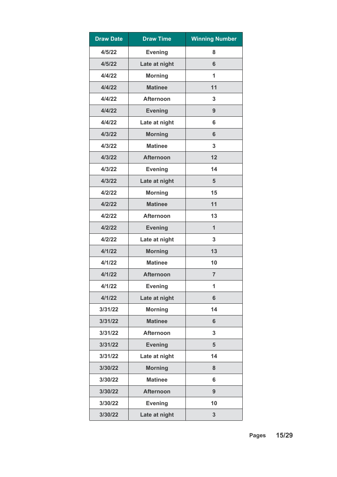| <b>Draw Date</b> | <b>Draw Time</b> | <b>Winning Number</b> |
|------------------|------------------|-----------------------|
| 4/5/22           | <b>Evening</b>   | 8                     |
| 4/5/22           | Late at night    | 6                     |
| 4/4/22           | <b>Morning</b>   | 1                     |
| 4/4/22           | <b>Matinee</b>   | 11                    |
| 4/4/22           | <b>Afternoon</b> | 3                     |
| 4/4/22           | <b>Evening</b>   | 9                     |
| 4/4/22           | Late at night    | 6                     |
| 4/3/22           | <b>Morning</b>   | $6\phantom{1}$        |
| 4/3/22           | <b>Matinee</b>   | 3                     |
| 4/3/22           | <b>Afternoon</b> | 12                    |
| 4/3/22           | <b>Evening</b>   | 14                    |
| 4/3/22           | Late at night    | 5                     |
| 4/2/22           | <b>Morning</b>   | 15                    |
| 4/2/22           | <b>Matinee</b>   | 11                    |
| 4/2/22           | <b>Afternoon</b> | 13                    |
| 4/2/22           | <b>Evening</b>   | $\mathbf{1}$          |
| 4/2/22           | Late at night    | 3                     |
| 4/1/22           | <b>Morning</b>   | 13                    |
| 4/1/22           | <b>Matinee</b>   | 10                    |
| 4/1/22           | <b>Afternoon</b> | $\overline{7}$        |
| 4/1/22           | <b>Evening</b>   | 1                     |
| 4/1/22           | Late at night    | $6\phantom{1}$        |
| 3/31/22          | <b>Morning</b>   | 14                    |
| 3/31/22          | <b>Matinee</b>   | 6                     |
| 3/31/22          | <b>Afternoon</b> | 3                     |
| 3/31/22          | <b>Evening</b>   | $5\phantom{1}$        |
| 3/31/22          | Late at night    | 14                    |
| 3/30/22          | <b>Morning</b>   | 8                     |
| 3/30/22          | <b>Matinee</b>   | 6                     |
| 3/30/22          | <b>Afternoon</b> | 9                     |
| 3/30/22          | <b>Evening</b>   | 10                    |
| 3/30/22          | Late at night    | $\mathbf{3}$          |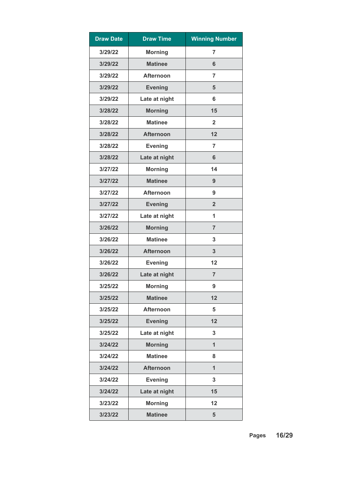| <b>Draw Date</b> | <b>Draw Time</b> | <b>Winning Number</b> |
|------------------|------------------|-----------------------|
| 3/29/22          | <b>Morning</b>   | $\overline{7}$        |
| 3/29/22          | <b>Matinee</b>   | 6                     |
| 3/29/22          | <b>Afternoon</b> | $\overline{7}$        |
| 3/29/22          | <b>Evening</b>   | 5                     |
| 3/29/22          | Late at night    | 6                     |
| 3/28/22          | <b>Morning</b>   | 15                    |
| 3/28/22          | <b>Matinee</b>   | $\overline{2}$        |
| 3/28/22          | <b>Afternoon</b> | 12                    |
| 3/28/22          | <b>Evening</b>   | $\overline{7}$        |
| 3/28/22          | Late at night    | $6\phantom{1}$        |
| 3/27/22          | <b>Morning</b>   | 14                    |
| 3/27/22          | <b>Matinee</b>   | 9                     |
| 3/27/22          | <b>Afternoon</b> | 9                     |
| 3/27/22          | <b>Evening</b>   | $\overline{2}$        |
| 3/27/22          | Late at night    | 1                     |
| 3/26/22          | <b>Morning</b>   | $\overline{7}$        |
| 3/26/22          | <b>Matinee</b>   | 3                     |
| 3/26/22          | <b>Afternoon</b> | 3                     |
| 3/26/22          | <b>Evening</b>   | 12                    |
| 3/26/22          | Late at night    | $\overline{7}$        |
| 3/25/22          | <b>Morning</b>   | 9                     |
| 3/25/22          | <b>Matinee</b>   | 12                    |
| 3/25/22          | <b>Afternoon</b> | 5                     |
| 3/25/22          | <b>Evening</b>   | 12                    |
| 3/25/22          | Late at night    | 3                     |
| 3/24/22          | <b>Morning</b>   | $\mathbf{1}$          |
| 3/24/22          | <b>Matinee</b>   | 8                     |
| 3/24/22          | <b>Afternoon</b> | $\overline{1}$        |
| 3/24/22          | <b>Evening</b>   | 3                     |
| 3/24/22          | Late at night    | 15                    |
| 3/23/22          | <b>Morning</b>   | 12                    |
| 3/23/22          | <b>Matinee</b>   | 5                     |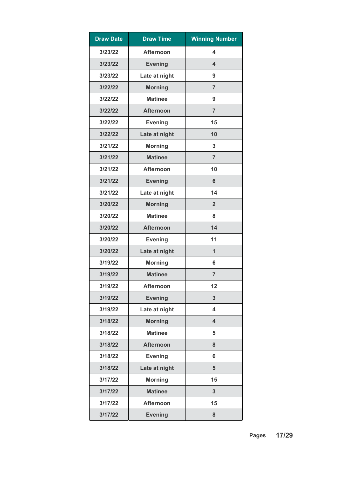| <b>Draw Date</b> | <b>Draw Time</b> | <b>Winning Number</b> |
|------------------|------------------|-----------------------|
| 3/23/22          | <b>Afternoon</b> | 4                     |
| 3/23/22          | <b>Evening</b>   | 4                     |
| 3/23/22          | Late at night    | 9                     |
| 3/22/22          | <b>Morning</b>   | $\overline{7}$        |
| 3/22/22          | <b>Matinee</b>   | 9                     |
| 3/22/22          | <b>Afternoon</b> | $\overline{7}$        |
| 3/22/22          | <b>Evening</b>   | 15                    |
| 3/22/22          | Late at night    | 10                    |
| 3/21/22          | <b>Morning</b>   | 3                     |
| 3/21/22          | <b>Matinee</b>   | $\overline{7}$        |
| 3/21/22          | <b>Afternoon</b> | 10                    |
| 3/21/22          | <b>Evening</b>   | 6                     |
| 3/21/22          | Late at night    | 14                    |
| 3/20/22          | <b>Morning</b>   | $\overline{2}$        |
| 3/20/22          | <b>Matinee</b>   | 8                     |
| 3/20/22          | <b>Afternoon</b> | 14                    |
| 3/20/22          | <b>Evening</b>   | 11                    |
| 3/20/22          | Late at night    | $\mathbf{1}$          |
| 3/19/22          | <b>Morning</b>   | 6                     |
| 3/19/22          | <b>Matinee</b>   | $\overline{7}$        |
| 3/19/22          | <b>Afternoon</b> | 12                    |
| 3/19/22          | <b>Evening</b>   | 3                     |
| 3/19/22          | Late at night    | 4                     |
| 3/18/22          | <b>Morning</b>   | 4                     |
| 3/18/22          | <b>Matinee</b>   | 5                     |
| 3/18/22          | <b>Afternoon</b> | 8                     |
| 3/18/22          | <b>Evening</b>   | 6                     |
| 3/18/22          | Late at night    | 5                     |
| 3/17/22          | <b>Morning</b>   | 15                    |
| 3/17/22          | <b>Matinee</b>   | 3                     |
| 3/17/22          | <b>Afternoon</b> | 15                    |
| 3/17/22          | <b>Evening</b>   | 8                     |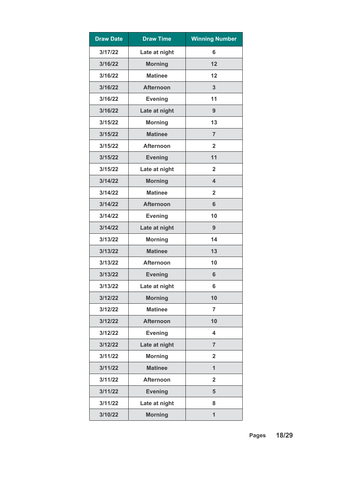| <b>Draw Date</b> | <b>Draw Time</b> | <b>Winning Number</b>   |
|------------------|------------------|-------------------------|
| 3/17/22          | Late at night    | 6                       |
| 3/16/22          | <b>Morning</b>   | 12                      |
| 3/16/22          | <b>Matinee</b>   | 12                      |
| 3/16/22          | <b>Afternoon</b> | 3                       |
| 3/16/22          | <b>Evening</b>   | 11                      |
| 3/16/22          | Late at night    | 9                       |
| 3/15/22          | <b>Morning</b>   | 13                      |
| 3/15/22          | <b>Matinee</b>   | $\overline{7}$          |
| 3/15/22          | <b>Afternoon</b> | $\mathbf{2}$            |
| 3/15/22          | <b>Evening</b>   | 11                      |
| 3/15/22          | Late at night    | $\overline{2}$          |
| 3/14/22          | <b>Morning</b>   | $\overline{\mathbf{4}}$ |
| 3/14/22          | <b>Matinee</b>   | $\overline{2}$          |
| 3/14/22          | <b>Afternoon</b> | 6                       |
| 3/14/22          | <b>Evening</b>   | 10                      |
| 3/14/22          | Late at night    | 9                       |
| 3/13/22          | <b>Morning</b>   | 14                      |
| 3/13/22          | <b>Matinee</b>   | 13                      |
| 3/13/22          | <b>Afternoon</b> | 10                      |
| 3/13/22          | <b>Evening</b>   | 6                       |
| 3/13/22          | Late at night    | 6                       |
| 3/12/22          | <b>Morning</b>   | 10                      |
| 3/12/22          | <b>Matinee</b>   | $\overline{7}$          |
| 3/12/22          | <b>Afternoon</b> | 10                      |
| 3/12/22          | <b>Evening</b>   | $\overline{\mathbf{4}}$ |
| 3/12/22          | Late at night    | $\overline{7}$          |
| 3/11/22          | <b>Morning</b>   | $\overline{2}$          |
| 3/11/22          | <b>Matinee</b>   | $\overline{1}$          |
| 3/11/22          | <b>Afternoon</b> | $\overline{2}$          |
| 3/11/22          | <b>Evening</b>   | 5                       |
| 3/11/22          | Late at night    | 8                       |
| 3/10/22          | <b>Morning</b>   | $\overline{1}$          |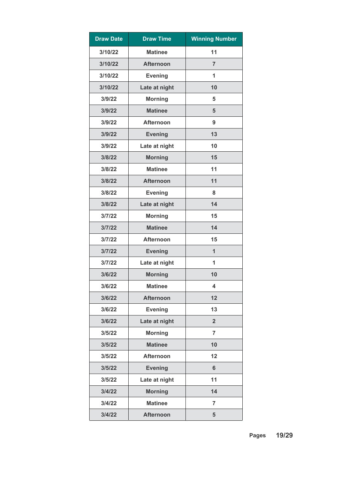| <b>Draw Date</b> | <b>Draw Time</b> | <b>Winning Number</b>   |
|------------------|------------------|-------------------------|
| 3/10/22          | <b>Matinee</b>   | 11                      |
| 3/10/22          | <b>Afternoon</b> | $\overline{7}$          |
| 3/10/22          | <b>Evening</b>   | 1                       |
| 3/10/22          | Late at night    | 10                      |
| 3/9/22           | <b>Morning</b>   | 5                       |
| 3/9/22           | <b>Matinee</b>   | 5                       |
| 3/9/22           | <b>Afternoon</b> | 9                       |
| 3/9/22           | <b>Evening</b>   | 13                      |
| 3/9/22           | Late at night    | 10                      |
| 3/8/22           | <b>Morning</b>   | 15                      |
| 3/8/22           | <b>Matinee</b>   | 11                      |
| 3/8/22           | <b>Afternoon</b> | 11                      |
| 3/8/22           | <b>Evening</b>   | 8                       |
| 3/8/22           | Late at night    | 14                      |
| 3/7/22           | <b>Morning</b>   | 15                      |
| 3/7/22           | <b>Matinee</b>   | 14                      |
| 3/7/22           | <b>Afternoon</b> | 15                      |
| 3/7/22           | <b>Evening</b>   | $\mathbf{1}$            |
| 3/7/22           | Late at night    | 1                       |
| 3/6/22           | <b>Morning</b>   | 10                      |
| 3/6/22           | <b>Matinee</b>   | $\overline{\mathbf{4}}$ |
| 3/6/22           | <b>Afternoon</b> | 12                      |
| 3/6/22           | <b>Evening</b>   | 13                      |
| 3/6/22           | Late at night    | $\overline{2}$          |
| 3/5/22           | <b>Morning</b>   | $\overline{7}$          |
| 3/5/22           | <b>Matinee</b>   | 10                      |
| 3/5/22           | <b>Afternoon</b> | 12                      |
| 3/5/22           | <b>Evening</b>   | $6\phantom{1}$          |
| 3/5/22           | Late at night    | 11                      |
| 3/4/22           | <b>Morning</b>   | 14                      |
| 3/4/22           | <b>Matinee</b>   | $\overline{7}$          |
| 3/4/22           | <b>Afternoon</b> | 5                       |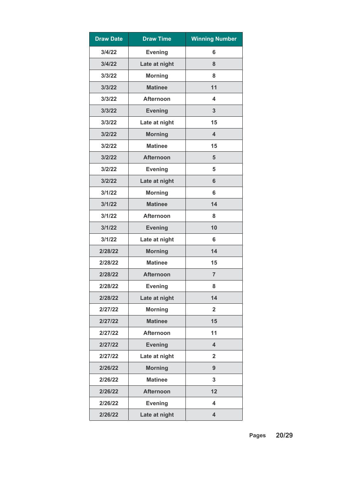| <b>Draw Date</b> | <b>Draw Time</b> | <b>Winning Number</b>   |
|------------------|------------------|-------------------------|
| 3/4/22           | <b>Evening</b>   | 6                       |
| 3/4/22           | Late at night    | 8                       |
| 3/3/22           | <b>Morning</b>   | 8                       |
| 3/3/22           | <b>Matinee</b>   | 11                      |
| 3/3/22           | <b>Afternoon</b> | 4                       |
| 3/3/22           | <b>Evening</b>   | 3                       |
| 3/3/22           | Late at night    | 15                      |
| 3/2/22           | <b>Morning</b>   | $\overline{\mathbf{4}}$ |
| 3/2/22           | <b>Matinee</b>   | 15                      |
| 3/2/22           | <b>Afternoon</b> | 5                       |
| 3/2/22           | <b>Evening</b>   | 5                       |
| 3/2/22           | Late at night    | 6                       |
| 3/1/22           | <b>Morning</b>   | 6                       |
| 3/1/22           | <b>Matinee</b>   | 14                      |
| 3/1/22           | <b>Afternoon</b> | 8                       |
| 3/1/22           | <b>Evening</b>   | 10                      |
| 3/1/22           | Late at night    | 6                       |
| 2/28/22          | <b>Morning</b>   | 14                      |
| 2/28/22          | <b>Matinee</b>   | 15                      |
| 2/28/22          | <b>Afternoon</b> | $\overline{7}$          |
| 2/28/22          | <b>Evening</b>   | 8                       |
| 2/28/22          | Late at night    | 14                      |
| 2/27/22          | <b>Morning</b>   | $\overline{2}$          |
| 2/27/22          | <b>Matinee</b>   | 15                      |
| 2/27/22          | <b>Afternoon</b> | 11                      |
| 2/27/22          | <b>Evening</b>   | 4                       |
| 2/27/22          | Late at night    | $\overline{2}$          |
| 2/26/22          | <b>Morning</b>   | 9                       |
| 2/26/22          | <b>Matinee</b>   | 3                       |
| 2/26/22          | <b>Afternoon</b> | 12                      |
| 2/26/22          | <b>Evening</b>   | 4                       |
| 2/26/22          | Late at night    | $\overline{\mathbf{4}}$ |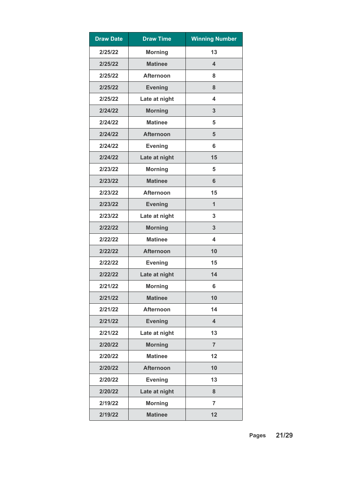| <b>Draw Date</b> | <b>Draw Time</b> | <b>Winning Number</b>   |
|------------------|------------------|-------------------------|
| 2/25/22          | <b>Morning</b>   | 13                      |
| 2/25/22          | <b>Matinee</b>   | $\overline{\mathbf{4}}$ |
| 2/25/22          | <b>Afternoon</b> | 8                       |
| 2/25/22          | <b>Evening</b>   | 8                       |
| 2/25/22          | Late at night    | $\overline{\mathbf{4}}$ |
| 2/24/22          | <b>Morning</b>   | 3                       |
| 2/24/22          | <b>Matinee</b>   | 5                       |
| 2/24/22          | <b>Afternoon</b> | 5                       |
| 2/24/22          | <b>Evening</b>   | 6                       |
| 2/24/22          | Late at night    | 15                      |
| 2/23/22          | <b>Morning</b>   | 5                       |
| 2/23/22          | <b>Matinee</b>   | 6                       |
| 2/23/22          | <b>Afternoon</b> | 15                      |
| 2/23/22          | <b>Evening</b>   | $\mathbf{1}$            |
| 2/23/22          | Late at night    | 3                       |
| 2/22/22          | <b>Morning</b>   | 3                       |
| 2/22/22          | <b>Matinee</b>   | 4                       |
| 2/22/22          | <b>Afternoon</b> | 10                      |
| 2/22/22          | <b>Evening</b>   | 15                      |
| 2/22/22          | Late at night    | 14                      |
| 2/21/22          | <b>Morning</b>   | $6\phantom{1}6$         |
| 2/21/22          | <b>Matinee</b>   | 10                      |
| 2/21/22          | <b>Afternoon</b> | 14                      |
| 2/21/22          | <b>Evening</b>   | $\overline{\mathbf{4}}$ |
| 2/21/22          | Late at night    | 13                      |
| 2/20/22          | <b>Morning</b>   | $\overline{7}$          |
| 2/20/22          | <b>Matinee</b>   | 12                      |
| 2/20/22          | <b>Afternoon</b> | 10                      |
| 2/20/22          | <b>Evening</b>   | 13                      |
| 2/20/22          | Late at night    | 8                       |
| 2/19/22          | <b>Morning</b>   | $\overline{7}$          |
| 2/19/22          | <b>Matinee</b>   | 12                      |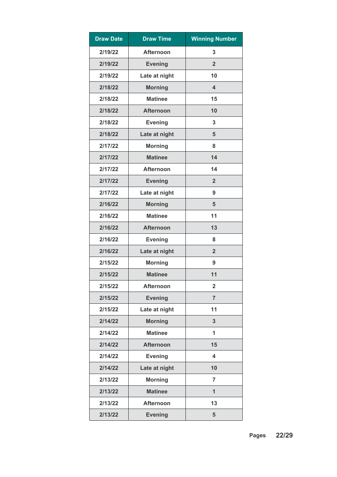| <b>Draw Date</b> | <b>Draw Time</b> | <b>Winning Number</b> |
|------------------|------------------|-----------------------|
| 2/19/22          | <b>Afternoon</b> | 3                     |
| 2/19/22          | <b>Evening</b>   | $\overline{2}$        |
| 2/19/22          | Late at night    | 10                    |
| 2/18/22          | <b>Morning</b>   | 4                     |
| 2/18/22          | <b>Matinee</b>   | 15                    |
| 2/18/22          | <b>Afternoon</b> | 10                    |
| 2/18/22          | <b>Evening</b>   | 3                     |
| 2/18/22          | Late at night    | 5                     |
| 2/17/22          | <b>Morning</b>   | 8                     |
| 2/17/22          | <b>Matinee</b>   | 14                    |
| 2/17/22          | <b>Afternoon</b> | 14                    |
| 2/17/22          | <b>Evening</b>   | $\overline{2}$        |
| 2/17/22          | Late at night    | 9                     |
| 2/16/22          | <b>Morning</b>   | 5                     |
| 2/16/22          | <b>Matinee</b>   | 11                    |
| 2/16/22          | <b>Afternoon</b> | 13                    |
| 2/16/22          | <b>Evening</b>   | 8                     |
| 2/16/22          | Late at night    | $\overline{2}$        |
| 2/15/22          | <b>Morning</b>   | 9                     |
| 2/15/22          | <b>Matinee</b>   | 11                    |
| 2/15/22          | <b>Afternoon</b> | $\overline{2}$        |
| 2/15/22          | <b>Evening</b>   | $\overline{7}$        |
| 2/15/22          | Late at night    | 11                    |
| 2/14/22          | <b>Morning</b>   | 3                     |
| 2/14/22          | <b>Matinee</b>   | 1                     |
| 2/14/22          | <b>Afternoon</b> | 15                    |
| 2/14/22          | <b>Evening</b>   | 4                     |
| 2/14/22          | Late at night    | 10                    |
| 2/13/22          | <b>Morning</b>   | $\overline{7}$        |
| 2/13/22          | <b>Matinee</b>   | $\mathbf{1}$          |
| 2/13/22          | <b>Afternoon</b> | 13                    |
| 2/13/22          | <b>Evening</b>   | 5                     |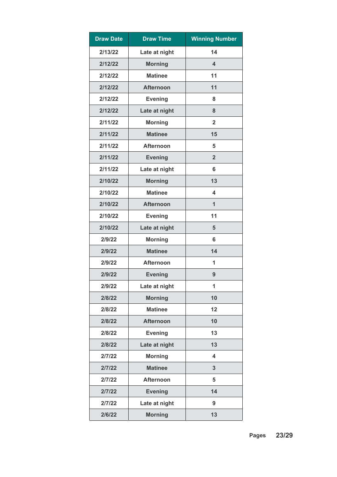| <b>Draw Date</b> | <b>Draw Time</b> | <b>Winning Number</b>   |
|------------------|------------------|-------------------------|
| 2/13/22          | Late at night    | 14                      |
| 2/12/22          | <b>Morning</b>   | $\overline{\mathbf{4}}$ |
| 2/12/22          | <b>Matinee</b>   | 11                      |
| 2/12/22          | <b>Afternoon</b> | 11                      |
| 2/12/22          | <b>Evening</b>   | 8                       |
| 2/12/22          | Late at night    | 8                       |
| 2/11/22          | <b>Morning</b>   | $\overline{2}$          |
| 2/11/22          | <b>Matinee</b>   | 15                      |
| 2/11/22          | <b>Afternoon</b> | 5                       |
| 2/11/22          | <b>Evening</b>   | $\overline{2}$          |
| 2/11/22          | Late at night    | 6                       |
| 2/10/22          | <b>Morning</b>   | 13                      |
| 2/10/22          | <b>Matinee</b>   | 4                       |
| 2/10/22          | <b>Afternoon</b> | $\mathbf{1}$            |
| 2/10/22          | <b>Evening</b>   | 11                      |
| 2/10/22          | Late at night    | 5                       |
| 2/9/22           | <b>Morning</b>   | 6                       |
| 2/9/22           | <b>Matinee</b>   | 14                      |
| 2/9/22           | <b>Afternoon</b> | 1                       |
| 2/9/22           | <b>Evening</b>   | 9                       |
| 2/9/22           | Late at night    | 1                       |
| 2/8/22           | <b>Morning</b>   | 10                      |
| 2/8/22           | <b>Matinee</b>   | 12                      |
| 2/8/22           | <b>Afternoon</b> | 10                      |
| 2/8/22           | <b>Evening</b>   | 13                      |
| 2/8/22           | Late at night    | 13                      |
| 2/7/22           | <b>Morning</b>   | $\overline{\mathbf{4}}$ |
| 2/7/22           | <b>Matinee</b>   | 3                       |
| 2/7/22           | <b>Afternoon</b> | 5                       |
| 2/7/22           | <b>Evening</b>   | 14                      |
| 2/7/22           | Late at night    | 9                       |
| 2/6/22           | <b>Morning</b>   | 13                      |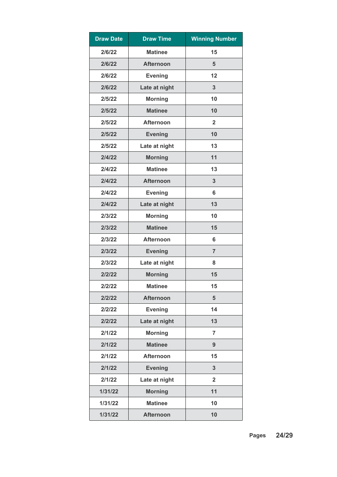| <b>Draw Date</b> | <b>Draw Time</b> | <b>Winning Number</b> |
|------------------|------------------|-----------------------|
| 2/6/22           | <b>Matinee</b>   | 15                    |
| 2/6/22           | <b>Afternoon</b> | 5                     |
| 2/6/22           | <b>Evening</b>   | 12                    |
| 2/6/22           | Late at night    | $\mathbf{3}$          |
| 2/5/22           | <b>Morning</b>   | 10                    |
| 2/5/22           | <b>Matinee</b>   | 10                    |
| 2/5/22           | <b>Afternoon</b> | $\overline{2}$        |
| 2/5/22           | <b>Evening</b>   | 10                    |
| 2/5/22           | Late at night    | 13                    |
| 2/4/22           | <b>Morning</b>   | 11                    |
| 2/4/22           | <b>Matinee</b>   | 13                    |
| 2/4/22           | <b>Afternoon</b> | 3                     |
| 2/4/22           | <b>Evening</b>   | 6                     |
| 2/4/22           | Late at night    | 13                    |
| 2/3/22           | <b>Morning</b>   | 10                    |
| 2/3/22           | <b>Matinee</b>   | 15                    |
| 2/3/22           | <b>Afternoon</b> | 6                     |
| 2/3/22           | <b>Evening</b>   | $\overline{7}$        |
| 2/3/22           | Late at night    | 8                     |
| 2/2/22           | <b>Morning</b>   | 15                    |
| 2/2/22           | <b>Matinee</b>   | 15                    |
| 2/2/22           | <b>Afternoon</b> | $5\phantom{1}$        |
| 2/2/22           | <b>Evening</b>   | 14                    |
| 2/2/22           | Late at night    | 13                    |
| 2/1/22           | <b>Morning</b>   | $\overline{7}$        |
| 2/1/22           | <b>Matinee</b>   | 9                     |
| 2/1/22           | <b>Afternoon</b> | 15                    |
| 2/1/22           | <b>Evening</b>   | $\mathbf{3}$          |
| 2/1/22           | Late at night    | $\overline{2}$        |
| 1/31/22          | <b>Morning</b>   | 11                    |
| 1/31/22          | <b>Matinee</b>   | 10                    |
| 1/31/22          | <b>Afternoon</b> | 10                    |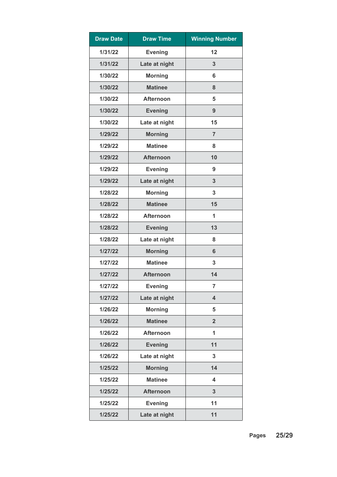| <b>Draw Date</b> | <b>Draw Time</b> | <b>Winning Number</b>   |
|------------------|------------------|-------------------------|
| 1/31/22          | <b>Evening</b>   | 12                      |
| 1/31/22          | Late at night    | 3                       |
| 1/30/22          | <b>Morning</b>   | 6                       |
| 1/30/22          | <b>Matinee</b>   | 8                       |
| 1/30/22          | <b>Afternoon</b> | 5                       |
| 1/30/22          | <b>Evening</b>   | 9                       |
| 1/30/22          | Late at night    | 15                      |
| 1/29/22          | <b>Morning</b>   | $\overline{7}$          |
| 1/29/22          | <b>Matinee</b>   | 8                       |
| 1/29/22          | <b>Afternoon</b> | 10                      |
| 1/29/22          | <b>Evening</b>   | 9                       |
| 1/29/22          | Late at night    | 3                       |
| 1/28/22          | <b>Morning</b>   | 3                       |
| 1/28/22          | <b>Matinee</b>   | 15                      |
| 1/28/22          | <b>Afternoon</b> | 1                       |
| 1/28/22          | <b>Evening</b>   | 13                      |
| 1/28/22          | Late at night    | 8                       |
| 1/27/22          | <b>Morning</b>   | 6                       |
| 1/27/22          | <b>Matinee</b>   | 3                       |
| 1/27/22          | <b>Afternoon</b> | 14                      |
| 1/27/22          | <b>Evening</b>   | $\overline{7}$          |
| 1/27/22          | Late at night    | $\overline{\mathbf{4}}$ |
| 1/26/22          | <b>Morning</b>   | 5                       |
| 1/26/22          | <b>Matinee</b>   | $\overline{2}$          |
| 1/26/22          | <b>Afternoon</b> | 1                       |
| 1/26/22          | <b>Evening</b>   | 11                      |
| 1/26/22          | Late at night    | 3                       |
| 1/25/22          | <b>Morning</b>   | 14                      |
| 1/25/22          | <b>Matinee</b>   | 4                       |
| 1/25/22          | <b>Afternoon</b> | 3                       |
| 1/25/22          | <b>Evening</b>   | 11                      |
| 1/25/22          | Late at night    | 11                      |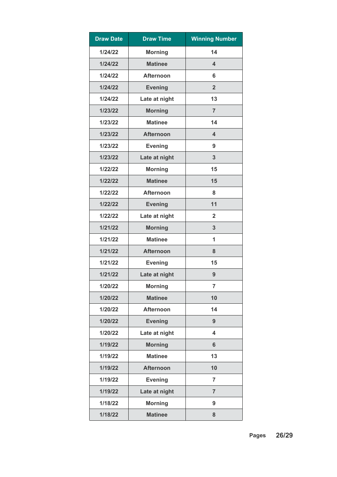| <b>Draw Date</b> | <b>Draw Time</b> | <b>Winning Number</b> |
|------------------|------------------|-----------------------|
| 1/24/22          | <b>Morning</b>   | 14                    |
| 1/24/22          | <b>Matinee</b>   | 4                     |
| 1/24/22          | <b>Afternoon</b> | 6                     |
| 1/24/22          | <b>Evening</b>   | $\overline{2}$        |
| 1/24/22          | Late at night    | 13                    |
| 1/23/22          | <b>Morning</b>   | $\overline{7}$        |
| 1/23/22          | <b>Matinee</b>   | 14                    |
| 1/23/22          | <b>Afternoon</b> | 4                     |
| 1/23/22          | <b>Evening</b>   | 9                     |
| 1/23/22          | Late at night    | 3                     |
| 1/22/22          | <b>Morning</b>   | 15                    |
| 1/22/22          | <b>Matinee</b>   | 15                    |
| 1/22/22          | <b>Afternoon</b> | 8                     |
| 1/22/22          | <b>Evening</b>   | 11                    |
| 1/22/22          | Late at night    | $\overline{2}$        |
| 1/21/22          | <b>Morning</b>   | 3                     |
| 1/21/22          | <b>Matinee</b>   | 1                     |
| 1/21/22          | <b>Afternoon</b> | 8                     |
| 1/21/22          | <b>Evening</b>   | 15                    |
| 1/21/22          | Late at night    | 9                     |
| 1/20/22          | <b>Morning</b>   | $\overline{7}$        |
| 1/20/22          | <b>Matinee</b>   | 10                    |
| 1/20/22          | <b>Afternoon</b> | 14                    |
| 1/20/22          | <b>Evening</b>   | 9                     |
| 1/20/22          | Late at night    | 4                     |
| 1/19/22          | <b>Morning</b>   | 6                     |
| 1/19/22          | <b>Matinee</b>   | 13                    |
| 1/19/22          | <b>Afternoon</b> | 10                    |
| 1/19/22          | <b>Evening</b>   | $\overline{7}$        |
| 1/19/22          | Late at night    | $\overline{7}$        |
| 1/18/22          | <b>Morning</b>   | 9                     |
| 1/18/22          | <b>Matinee</b>   | 8                     |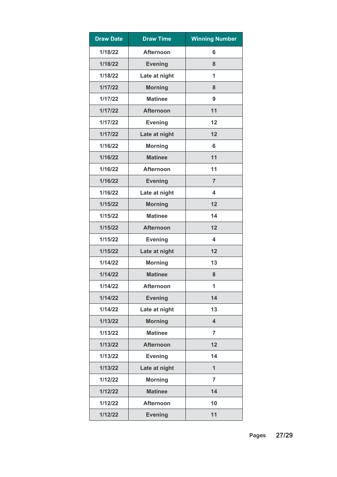| <b>Draw Date</b> | <b>Draw Time</b> | <b>Winning Number</b>   |
|------------------|------------------|-------------------------|
| 1/18/22          | <b>Afternoon</b> | 6                       |
| 1/18/22          | <b>Evening</b>   | 8                       |
| 1/18/22          | Late at night    | 1                       |
| 1/17/22          | <b>Morning</b>   | 8                       |
| 1/17/22          | <b>Matinee</b>   | 9                       |
| 1/17/22          | <b>Afternoon</b> | 11                      |
| 1/17/22          | <b>Evening</b>   | 12                      |
| 1/17/22          | Late at night    | 12                      |
| 1/16/22          | <b>Morning</b>   | 6                       |
| 1/16/22          | <b>Matinee</b>   | 11                      |
| 1/16/22          | <b>Afternoon</b> | 11                      |
| 1/16/22          | <b>Evening</b>   | $\overline{7}$          |
| 1/16/22          | Late at night    | 4                       |
| 1/15/22          | <b>Morning</b>   | 12                      |
| 1/15/22          | <b>Matinee</b>   | 14                      |
| 1/15/22          | <b>Afternoon</b> | 12                      |
| 1/15/22          | <b>Evening</b>   | 4                       |
| 1/15/22          | Late at night    | 12                      |
| 1/14/22          | <b>Morning</b>   | 13                      |
| 1/14/22          | <b>Matinee</b>   | 8                       |
| 1/14/22          | <b>Afternoon</b> | 1                       |
| 1/14/22          | <b>Evening</b>   | 14                      |
| 1/14/22          | Late at night    | 13                      |
| 1/13/22          | <b>Morning</b>   | $\overline{\mathbf{4}}$ |
| 1/13/22          | <b>Matinee</b>   | $\overline{7}$          |
| 1/13/22          | <b>Afternoon</b> | 12                      |
| 1/13/22          | <b>Evening</b>   | 14                      |
| 1/13/22          | Late at night    | $\overline{1}$          |
| 1/12/22          | <b>Morning</b>   | $\overline{7}$          |
| 1/12/22          | <b>Matinee</b>   | 14                      |
| 1/12/22          | <b>Afternoon</b> | 10                      |
| 1/12/22          | <b>Evening</b>   | 11                      |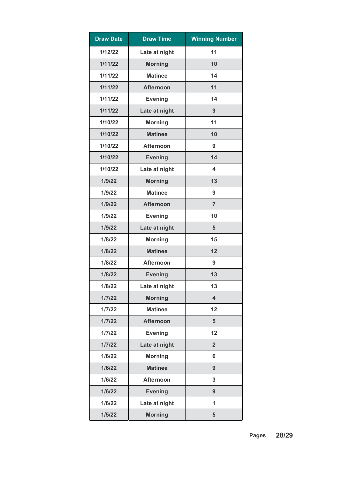| <b>Draw Date</b> | <b>Draw Time</b> | <b>Winning Number</b>   |
|------------------|------------------|-------------------------|
| 1/12/22          | Late at night    | 11                      |
| 1/11/22          | <b>Morning</b>   | 10                      |
| 1/11/22          | <b>Matinee</b>   | 14                      |
| 1/11/22          | <b>Afternoon</b> | 11                      |
| 1/11/22          | <b>Evening</b>   | 14                      |
| 1/11/22          | Late at night    | 9                       |
| 1/10/22          | <b>Morning</b>   | 11                      |
| 1/10/22          | <b>Matinee</b>   | 10                      |
| 1/10/22          | <b>Afternoon</b> | 9                       |
| 1/10/22          | <b>Evening</b>   | 14                      |
| 1/10/22          | Late at night    | $\overline{\mathbf{4}}$ |
| 1/9/22           | <b>Morning</b>   | 13                      |
| 1/9/22           | <b>Matinee</b>   | 9                       |
| 1/9/22           | <b>Afternoon</b> | $\overline{7}$          |
| 1/9/22           | <b>Evening</b>   | 10                      |
| 1/9/22           | Late at night    | 5                       |
| 1/8/22           | <b>Morning</b>   | 15                      |
| 1/8/22           | <b>Matinee</b>   | 12                      |
| 1/8/22           | <b>Afternoon</b> | 9                       |
| 1/8/22           | <b>Evening</b>   | 13                      |
| 1/8/22           | Late at night    | 13                      |
| 1/7/22           | <b>Morning</b>   | $\overline{\mathbf{4}}$ |
| 1/7/22           | <b>Matinee</b>   | 12                      |
| 1/7/22           | <b>Afternoon</b> | 5                       |
| 1/7/22           | <b>Evening</b>   | 12                      |
| 1/7/22           | Late at night    | $\overline{2}$          |
| 1/6/22           | <b>Morning</b>   | 6                       |
| 1/6/22           | <b>Matinee</b>   | 9                       |
| 1/6/22           | <b>Afternoon</b> | 3                       |
| 1/6/22           | <b>Evening</b>   | 9                       |
| 1/6/22           | Late at night    | 1                       |
| 1/5/22           | <b>Morning</b>   | 5                       |